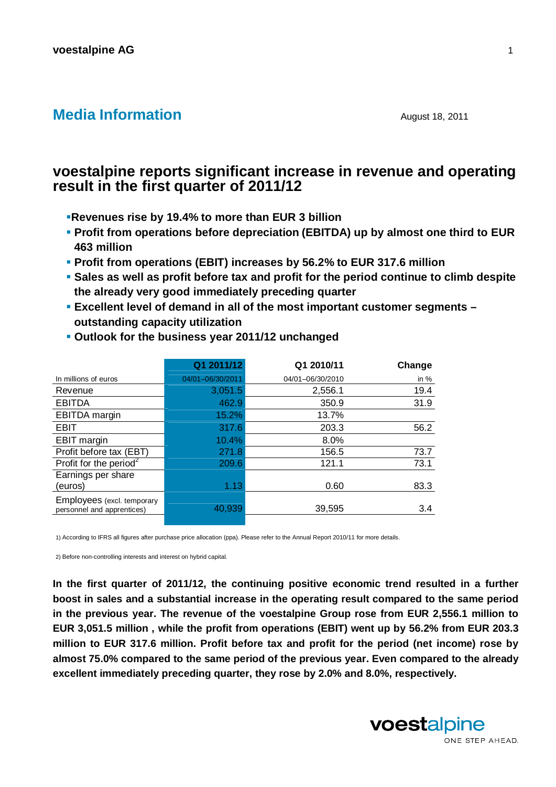## **Media Information August 18, 2011**

# **voestalpine reports significant increase in revenue and operating result in the first quarter of 2011/12**

- **Revenues rise by 19.4% to more than EUR 3 billion**
- **Profit from operations before depreciation (EBITDA) up by almost one third to EUR 463 million**
- **Profit from operations (EBIT) increases by 56.2% to EUR 317.6 million**
- **Sales as well as profit before tax and profit for the period continue to climb despite the already very good immediately preceding quarter**
- **Excellent level of demand in all of the most important customer segments outstanding capacity utilization**

| Q1 2011/12       | Q1 2010/11       | Change |
|------------------|------------------|--------|
| 04/01-06/30/2011 | 04/01-06/30/2010 | in $%$ |
| 3,051.5          | 2,556.1          | 19.4   |
| 462.9            | 350.9            | 31.9   |
| 15.2%            | 13.7%            |        |
| 317.6            | 203.3            | 56.2   |
| 10.4%            | 8.0%             |        |
| 271.8            | 156.5            | 73.7   |
| 209.6            | 121.1            | 73.1   |
| 1.13             | 0.60             | 83.3   |
| 40,939           | 39,595           | 3.4    |
|                  |                  |        |

 **Outlook for the business year 2011/12 unchanged** 

1) According to IFRS all figures after purchase price allocation (ppa). Please refer to the Annual Report 2010/11 for more details.

2) Before non-controlling interests and interest on hybrid capital.

**In the first quarter of 2011/12, the continuing positive economic trend resulted in a further boost in sales and a substantial increase in the operating result compared to the same period in the previous year. The revenue of the voestalpine Group rose from EUR 2,556.1 million to EUR 3,051.5 million , while the profit from operations (EBIT) went up by 56.2% from EUR 203.3 million to EUR 317.6 million. Profit before tax and profit for the period (net income) rose by almost 75.0% compared to the same period of the previous year. Even compared to the already excellent immediately preceding quarter, they rose by 2.0% and 8.0%, respectively.** 

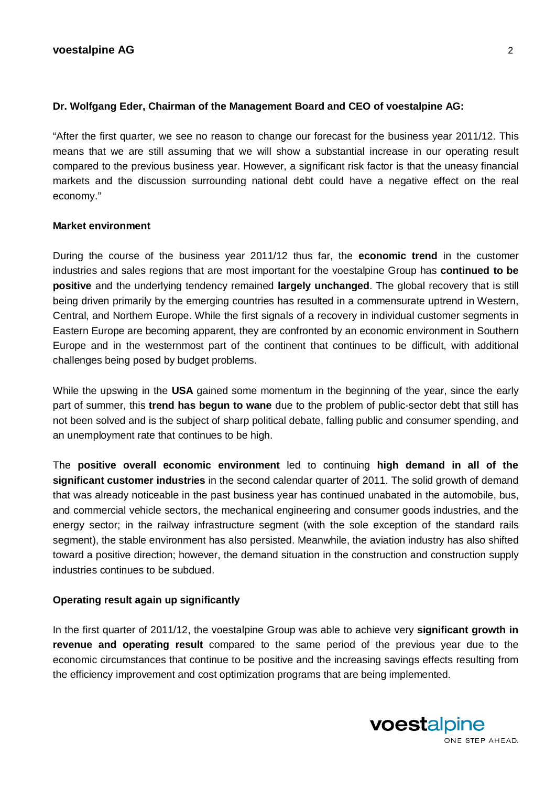## **Dr. Wolfgang Eder, Chairman of the Management Board and CEO of voestalpine AG:**

"After the first quarter, we see no reason to change our forecast for the business year 2011/12. This means that we are still assuming that we will show a substantial increase in our operating result compared to the previous business year. However, a significant risk factor is that the uneasy financial markets and the discussion surrounding national debt could have a negative effect on the real economy."

## **Market environment**

During the course of the business year 2011/12 thus far, the **economic trend** in the customer industries and sales regions that are most important for the voestalpine Group has **continued to be positive** and the underlying tendency remained **largely unchanged**. The global recovery that is still being driven primarily by the emerging countries has resulted in a commensurate uptrend in Western, Central, and Northern Europe. While the first signals of a recovery in individual customer segments in Eastern Europe are becoming apparent, they are confronted by an economic environment in Southern Europe and in the westernmost part of the continent that continues to be difficult, with additional challenges being posed by budget problems.

While the upswing in the **USA** gained some momentum in the beginning of the year, since the early part of summer, this **trend has begun to wane** due to the problem of public-sector debt that still has not been solved and is the subject of sharp political debate, falling public and consumer spending, and an unemployment rate that continues to be high.

The **positive overall economic environment** led to continuing **high demand in all of the significant customer industries** in the second calendar quarter of 2011. The solid growth of demand that was already noticeable in the past business year has continued unabated in the automobile, bus, and commercial vehicle sectors, the mechanical engineering and consumer goods industries, and the energy sector; in the railway infrastructure segment (with the sole exception of the standard rails segment), the stable environment has also persisted. Meanwhile, the aviation industry has also shifted toward a positive direction; however, the demand situation in the construction and construction supply industries continues to be subdued.

## **Operating result again up significantly**

In the first quarter of 2011/12, the voestalpine Group was able to achieve very **significant growth in revenue and operating result** compared to the same period of the previous year due to the economic circumstances that continue to be positive and the increasing savings effects resulting from the efficiency improvement and cost optimization programs that are being implemented.

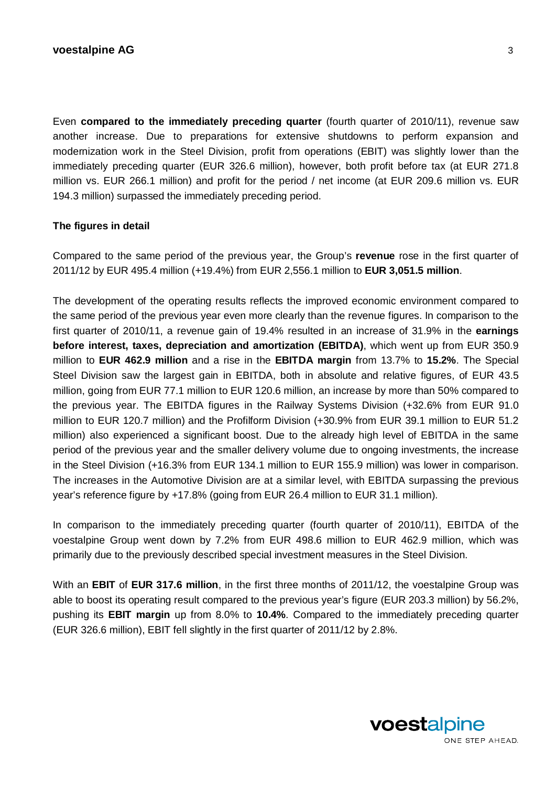Even **compared to the immediately preceding quarter** (fourth quarter of 2010/11), revenue saw another increase. Due to preparations for extensive shutdowns to perform expansion and modernization work in the Steel Division, profit from operations (EBIT) was slightly lower than the immediately preceding quarter (EUR 326.6 million), however, both profit before tax (at EUR 271.8 million vs. EUR 266.1 million) and profit for the period / net income (at EUR 209.6 million vs. EUR 194.3 million) surpassed the immediately preceding period.

## **The figures in detail**

Compared to the same period of the previous year, the Group's **revenue** rose in the first quarter of 2011/12 by EUR 495.4 million (+19.4%) from EUR 2,556.1 million to **EUR 3,051.5 million**.

The development of the operating results reflects the improved economic environment compared to the same period of the previous year even more clearly than the revenue figures. In comparison to the first quarter of 2010/11, a revenue gain of 19.4% resulted in an increase of 31.9% in the **earnings before interest, taxes, depreciation and amortization (EBITDA)**, which went up from EUR 350.9 million to **EUR 462.9 million** and a rise in the **EBITDA margin** from 13.7% to **15.2%**. The Special Steel Division saw the largest gain in EBITDA, both in absolute and relative figures, of EUR 43.5 million, going from EUR 77.1 million to EUR 120.6 million, an increase by more than 50% compared to the previous year. The EBITDA figures in the Railway Systems Division (+32.6% from EUR 91.0 million to EUR 120.7 million) and the Profilform Division (+30.9% from EUR 39.1 million to EUR 51.2 million) also experienced a significant boost. Due to the already high level of EBITDA in the same period of the previous year and the smaller delivery volume due to ongoing investments, the increase in the Steel Division (+16.3% from EUR 134.1 million to EUR 155.9 million) was lower in comparison. The increases in the Automotive Division are at a similar level, with EBITDA surpassing the previous year's reference figure by +17.8% (going from EUR 26.4 million to EUR 31.1 million).

In comparison to the immediately preceding quarter (fourth quarter of 2010/11), EBITDA of the voestalpine Group went down by 7.2% from EUR 498.6 million to EUR 462.9 million, which was primarily due to the previously described special investment measures in the Steel Division.

With an **EBIT** of **EUR 317.6 million**, in the first three months of 2011/12, the voestalpine Group was able to boost its operating result compared to the previous year's figure (EUR 203.3 million) by 56.2%, pushing its **EBIT margin** up from 8.0% to **10.4%**. Compared to the immediately preceding quarter (EUR 326.6 million), EBIT fell slightly in the first quarter of 2011/12 by 2.8%.

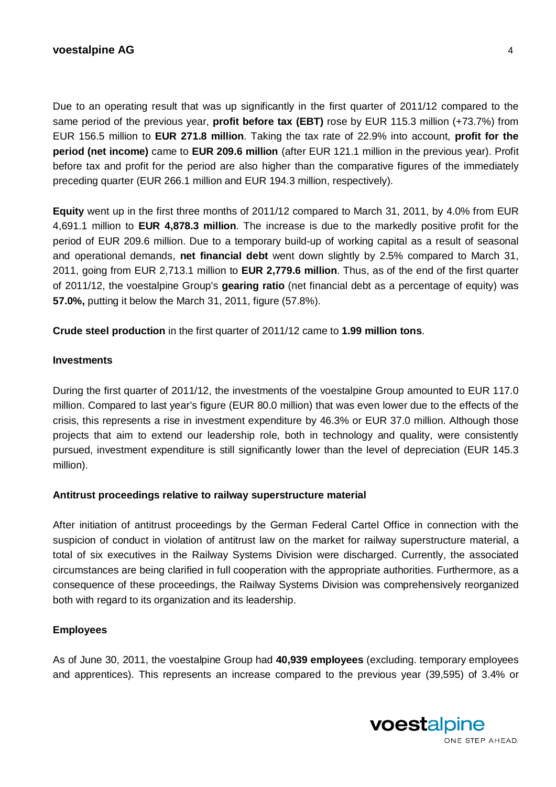## **voestalpine AG** 4

Due to an operating result that was up significantly in the first quarter of 2011/12 compared to the same period of the previous year, **profit before tax (EBT)** rose by EUR 115.3 million (+73.7%) from EUR 156.5 million to **EUR 271.8 million**. Taking the tax rate of 22.9% into account, **profit for the period (net income)** came to **EUR 209.6 million** (after EUR 121.1 million in the previous year). Profit before tax and profit for the period are also higher than the comparative figures of the immediately preceding quarter (EUR 266.1 million and EUR 194.3 million, respectively).

**Equity** went up in the first three months of 2011/12 compared to March 31, 2011, by 4.0% from EUR 4,691.1 million to **EUR 4,878.3 million**. The increase is due to the markedly positive profit for the period of EUR 209.6 million. Due to a temporary build-up of working capital as a result of seasonal and operational demands, **net financial debt** went down slightly by 2.5% compared to March 31, 2011, going from EUR 2,713.1 million to **EUR 2,779.6 million**. Thus, as of the end of the first quarter of 2011/12, the voestalpine Group's **gearing ratio** (net financial debt as a percentage of equity) was **57.0%,** putting it below the March 31, 2011, figure (57.8%).

**Crude steel production** in the first quarter of 2011/12 came to **1.99 million tons**.

## **Investments**

During the first quarter of 2011/12, the investments of the voestalpine Group amounted to EUR 117.0 million. Compared to last year's figure (EUR 80.0 million) that was even lower due to the effects of the crisis, this represents a rise in investment expenditure by 46.3% or EUR 37.0 million. Although those projects that aim to extend our leadership role, both in technology and quality, were consistently pursued, investment expenditure is still significantly lower than the level of depreciation (EUR 145.3 million).

## **Antitrust proceedings relative to railway superstructure material**

After initiation of antitrust proceedings by the German Federal Cartel Office in connection with the suspicion of conduct in violation of antitrust law on the market for railway superstructure material, a total of six executives in the Railway Systems Division were discharged. Currently, the associated circumstances are being clarified in full cooperation with the appropriate authorities. Furthermore, as a consequence of these proceedings, the Railway Systems Division was comprehensively reorganized both with regard to its organization and its leadership.

## **Employees**

As of June 30, 2011, the voestalpine Group had **40,939 employees** (excluding. temporary employees and apprentices). This represents an increase compared to the previous year (39,595) of 3.4% or

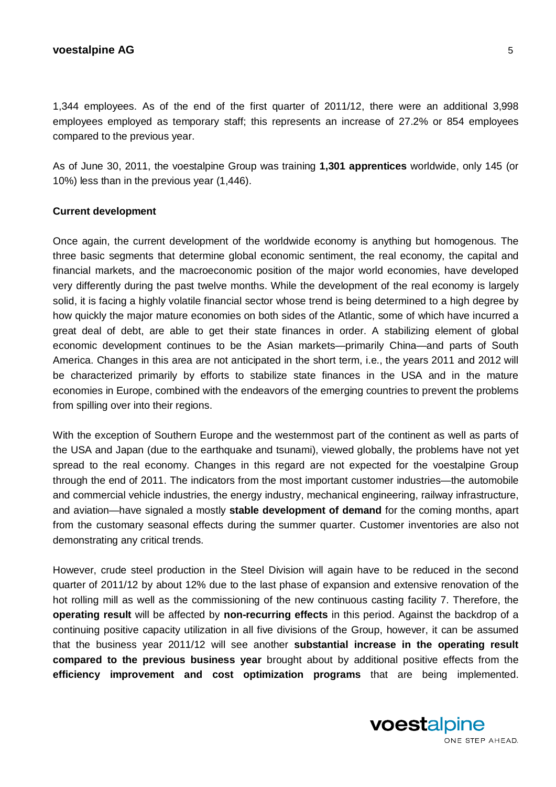#### **voestalpine AG** 5

1,344 employees. As of the end of the first quarter of 2011/12, there were an additional 3,998 employees employed as temporary staff; this represents an increase of 27.2% or 854 employees compared to the previous year.

As of June 30, 2011, the voestalpine Group was training **1,301 apprentices** worldwide, only 145 (or 10%) less than in the previous year (1,446).

#### **Current development**

Once again, the current development of the worldwide economy is anything but homogenous. The three basic segments that determine global economic sentiment, the real economy, the capital and financial markets, and the macroeconomic position of the major world economies, have developed very differently during the past twelve months. While the development of the real economy is largely solid, it is facing a highly volatile financial sector whose trend is being determined to a high degree by how quickly the major mature economies on both sides of the Atlantic, some of which have incurred a great deal of debt, are able to get their state finances in order. A stabilizing element of global economic development continues to be the Asian markets—primarily China—and parts of South America. Changes in this area are not anticipated in the short term, i.e., the years 2011 and 2012 will be characterized primarily by efforts to stabilize state finances in the USA and in the mature economies in Europe, combined with the endeavors of the emerging countries to prevent the problems from spilling over into their regions.

With the exception of Southern Europe and the westernmost part of the continent as well as parts of the USA and Japan (due to the earthquake and tsunami), viewed globally, the problems have not yet spread to the real economy. Changes in this regard are not expected for the voestalpine Group through the end of 2011. The indicators from the most important customer industries—the automobile and commercial vehicle industries, the energy industry, mechanical engineering, railway infrastructure, and aviation—have signaled a mostly **stable development of demand** for the coming months, apart from the customary seasonal effects during the summer quarter. Customer inventories are also not demonstrating any critical trends.

However, crude steel production in the Steel Division will again have to be reduced in the second quarter of 2011/12 by about 12% due to the last phase of expansion and extensive renovation of the hot rolling mill as well as the commissioning of the new continuous casting facility 7. Therefore, the **operating result** will be affected by **non-recurring effects** in this period. Against the backdrop of a continuing positive capacity utilization in all five divisions of the Group, however, it can be assumed that the business year 2011/12 will see another **substantial increase in the operating result compared to the previous business year** brought about by additional positive effects from the **efficiency improvement and cost optimization programs** that are being implemented.